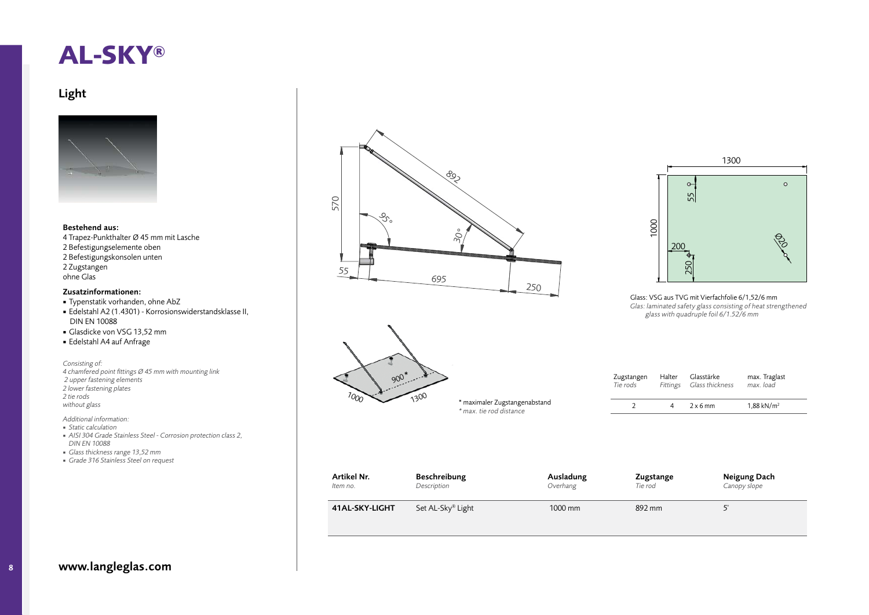## **AL-SKY®**

## Light



## Bestehend aus:

4 Trapez-Punkthalter Ø 45 mm mit Lasche 2 Befestigungselemente oben 2 Befestigungskonsolen unten 2¡Zugstangen¡ ohne Glas

## Zusatzinformationen:

- **•** Typenstatik vorhanden, ohne AbZ
- Edelstahl A2 (1.4301) Korrosionswiderstandsklasse II, **DIN EN 10088**
- Glasdicke von VSG 13,52 mm
- Edelstahl A4 auf Anfrage

*Consisting of: 4 chamfered point fi ttings Ø 45 mm with mounting link 2 upper fastening elements 2 lower fastening plates 2 tie rods without glass*

*Additional information:*

- ¡ *Static calculation*
- ¡ *AISI 304 Grade Stainless Steel Corrosion protection class 2, DIN EN 10088*
- ¡ *Glass thickness range 13,52 mm*
- ¡ *Grade 316 Stainless Steel on request*







Glass:¡VSG¡aus¡TVG¡mit¡Vierfachfolie¡6/1,52/6¡mm¡ *Glas: laminated safety glass consisting of heat strengthened glass with quadruple foil 6/1.52/6 mm*

| Zugstangen<br>Tie rods | Halter<br>Fittings | Glasstärke<br>Glass thickness | max. Traglast<br>max. load |  |
|------------------------|--------------------|-------------------------------|----------------------------|--|
|                        |                    | $2 \times 6$ mm               | $1.88$ kN/m <sup>2</sup>   |  |

| Artikel Nr.    | Beschreibung      | Ausladung | Zugstange | Neigung Dach |
|----------------|-------------------|-----------|-----------|--------------|
| Item no.       | Description       | Overhang  | Tie rod   | Canopy slope |
| 41AL-SKY-LIGHT | Set AL-Sky® Light | 1000 mm   | 892 mm    |              |